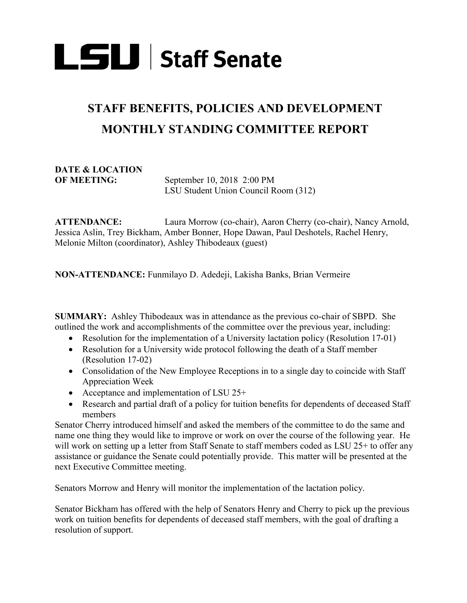

## **STAFF BENEFITS, POLICIES AND DEVELOPMENT MONTHLY STANDING COMMITTEE REPORT**

## **DATE & LOCATION**

September 10, 2018 2:00 PM LSU Student Union Council Room (312)

**ATTENDANCE:** Laura Morrow (co-chair), Aaron Cherry (co-chair), Nancy Arnold, Jessica Aslin, Trey Bickham, Amber Bonner, Hope Dawan, Paul Deshotels, Rachel Henry, Melonie Milton (coordinator), Ashley Thibodeaux (guest)

**NON-ATTENDANCE:** Funmilayo D. Adedeji, Lakisha Banks, Brian Vermeire

**SUMMARY:** Ashley Thibodeaux was in attendance as the previous co-chair of SBPD. She outlined the work and accomplishments of the committee over the previous year, including:

- Resolution for the implementation of a University lactation policy (Resolution 17-01)
- Resolution for a University wide protocol following the death of a Staff member (Resolution 17-02)
- Consolidation of the New Employee Receptions in to a single day to coincide with Staff Appreciation Week
- Acceptance and implementation of LSU 25+
- Research and partial draft of a policy for tuition benefits for dependents of deceased Staff members

Senator Cherry introduced himself and asked the members of the committee to do the same and name one thing they would like to improve or work on over the course of the following year. He will work on setting up a letter from Staff Senate to staff members coded as LSU 25+ to offer any assistance or guidance the Senate could potentially provide. This matter will be presented at the next Executive Committee meeting.

Senators Morrow and Henry will monitor the implementation of the lactation policy.

Senator Bickham has offered with the help of Senators Henry and Cherry to pick up the previous work on tuition benefits for dependents of deceased staff members, with the goal of drafting a resolution of support.